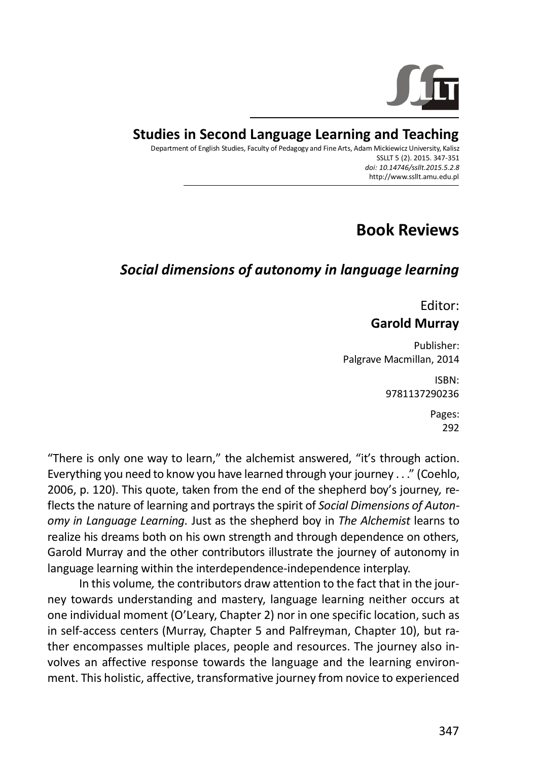

## **Studies in Second Language Learning and Teaching**

Department of English Studies, Faculty of Pedagogy and Fine Arts, Adam Mickiewicz University, Kalisz SSLLT 5 (2). 2015. 347-351 *doi: 10.14746/ssllt.2015.5.2.8* http://www.ssllt.amu.edu.pl

## **Book Reviews**

## *Social dimensions of autonomy in language learning*

Editor: **Garold Murray**

Publisher: Palgrave Macmillan, 2014

> ISBN: 9781137290236

> > Pages: 292

"There is only one way to learn," the alchemist answered, "it's through action. Everything you need to know you have learned through your journey . . ." (Coehlo, 2006, p. 120). This quote, taken from the end of the shepherd boy's journey*,* reflects the nature of learning and portrays the spirit of *Social Dimensions of Autonomy in Language Learning.* Just as the shepherd boy in *The Alchemist* learns to realize his dreams both on his own strength and through dependence on others, Garold Murray and the other contributors illustrate the journey of autonomy in language learning within the interdependence-independence interplay.

In this volume*,* the contributors draw attention to the fact that in the journey towards understanding and mastery, language learning neither occurs at one individual moment (O'Leary, Chapter 2) nor in one specific location, such as in self-access centers (Murray, Chapter 5 and Palfreyman, Chapter 10), but rather encompasses multiple places, people and resources. The journey also involves an affective response towards the language and the learning environment. This holistic, affective, transformative journey from novice to experienced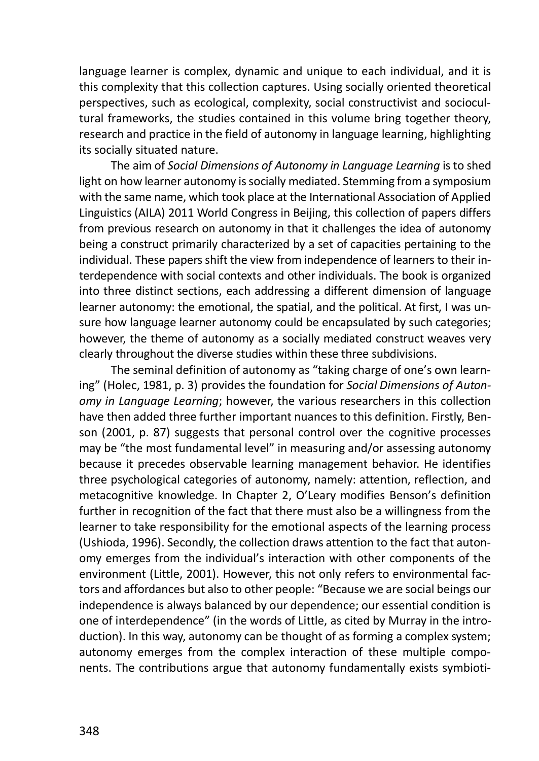language learner is complex, dynamic and unique to each individual, and it is this complexity that this collection captures. Using socially oriented theoretical perspectives, such as ecological, complexity, social constructivist and sociocultural frameworks, the studies contained in this volume bring together theory, research and practice in the field of autonomy in language learning, highlighting its socially situated nature.

The aim of *Social Dimensions of Autonomy in Language Learning* is to shed light on how learner autonomy is socially mediated. Stemming from a symposium with the same name, which took place at the International Association of Applied Linguistics (AILA) 2011 World Congress in Beijing, this collection of papers differs from previous research on autonomy in that it challenges the idea of autonomy being a construct primarily characterized by a set of capacities pertaining to the individual. These papers shift the view from independence of learners to their interdependence with social contexts and other individuals. The book is organized into three distinct sections, each addressing a different dimension of language learner autonomy: the emotional, the spatial, and the political. At first, I was unsure how language learner autonomy could be encapsulated by such categories; however, the theme of autonomy as a socially mediated construct weaves very clearly throughout the diverse studies within these three subdivisions.

The seminal definition of autonomy as "taking charge of one's own learning" (Holec, 1981, p. 3) provides the foundation for *Social Dimensions of Autonomy in Language Learning*; however, the various researchers in this collection have then added three further important nuances to this definition. Firstly, Benson (2001, p. 87) suggests that personal control over the cognitive processes may be "the most fundamental level" in measuring and/or assessing autonomy because it precedes observable learning management behavior. He identifies three psychological categories of autonomy, namely: attention, reflection, and metacognitive knowledge. In Chapter 2, O'Leary modifies Benson's definition further in recognition of the fact that there must also be a willingness from the learner to take responsibility for the emotional aspects of the learning process (Ushioda, 1996). Secondly, the collection draws attention to the fact that autonomy emerges from the individual's interaction with other components of the environment (Little, 2001). However, this not only refers to environmental factors and affordances but also to other people: "Because we are social beings our independence is always balanced by our dependence; our essential condition is one of interdependence" (in the words of Little, as cited by Murray in the introduction). In this way, autonomy can be thought of as forming a complex system; autonomy emerges from the complex interaction of these multiple components. The contributions argue that autonomy fundamentally exists symbioti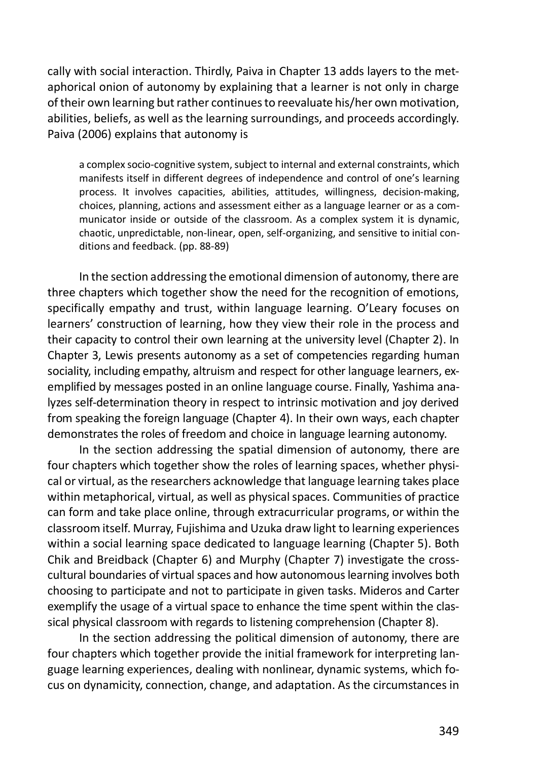cally with social interaction. Thirdly, Paiva in Chapter 13 adds layers to the metaphorical onion of autonomy by explaining that a learner is not only in charge of their own learning but rather continues to reevaluate his/her own motivation, abilities, beliefs, as well as the learning surroundings, and proceeds accordingly. Paiva (2006) explains that autonomy is

a complex socio-cognitive system, subject to internal and external constraints, which manifests itself in different degrees of independence and control of one's learning process. It involves capacities, abilities, attitudes, willingness, decision-making, choices, planning, actions and assessment either as a language learner or as a communicator inside or outside of the classroom. As a complex system it is dynamic, chaotic, unpredictable, non-linear, open, self-organizing, and sensitive to initial conditions and feedback. (pp. 88-89)

In the section addressing the emotional dimension of autonomy, there are three chapters which together show the need for the recognition of emotions, specifically empathy and trust, within language learning. O'Leary focuses on learners' construction of learning, how they view their role in the process and their capacity to control their own learning at the university level (Chapter 2). In Chapter 3, Lewis presents autonomy as a set of competencies regarding human sociality, including empathy, altruism and respect for other language learners, exemplified by messages posted in an online language course. Finally, Yashima analyzes self-determination theory in respect to intrinsic motivation and joy derived from speaking the foreign language (Chapter 4). In their own ways, each chapter demonstrates the roles of freedom and choice in language learning autonomy.

In the section addressing the spatial dimension of autonomy, there are four chapters which together show the roles of learning spaces, whether physical or virtual, as the researchers acknowledge that language learning takes place within metaphorical, virtual, as well as physical spaces. Communities of practice can form and take place online, through extracurricular programs, or within the classroom itself. Murray, Fujishima and Uzuka draw light to learning experiences within a social learning space dedicated to language learning (Chapter 5). Both Chik and Breidback (Chapter 6) and Murphy (Chapter 7) investigate the crosscultural boundaries of virtual spaces and how autonomous learning involves both choosing to participate and not to participate in given tasks. Mideros and Carter exemplify the usage of a virtual space to enhance the time spent within the classical physical classroom with regards to listening comprehension (Chapter 8).

In the section addressing the political dimension of autonomy, there are four chapters which together provide the initial framework for interpreting language learning experiences, dealing with nonlinear, dynamic systems, which focus on dynamicity, connection, change, and adaptation. As the circumstances in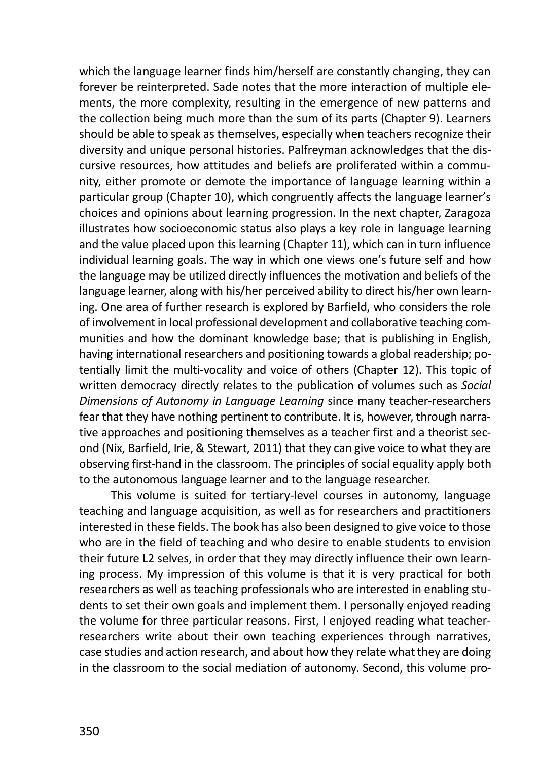which the language learner finds him/herself are constantly changing, they can forever be reinterpreted. Sade notes that the more interaction of multiple elements, the more complexity, resulting in the emergence of new patterns and the collection being much more than the sum of its parts (Chapter 9). Learners should be able to speak as themselves, especially when teachers recognize their diversity and unique personal histories. Palfreyman acknowledges that the discursive resources, how attitudes and beliefs are proliferated within a community, either promote or demote the importance of language learning within a particular group (Chapter 10), which congruently affects the language learner's choices and opinions about learning progression. In the next chapter, Zaragoza illustrates how socioeconomic status also plays a key role in language learning and the value placed upon this learning (Chapter 11), which can in turn influence individual learning goals. The way in which one views one's future self and how the language may be utilized directly influences the motivation and beliefs of the language learner, along with his/her perceived ability to direct his/her own learning. One area of further research is explored by Barfield, who considers the role of involvement in local professional development and collaborative teaching communities and how the dominant knowledge base; that is publishing in English, having international researchers and positioning towards a global readership; potentially limit the multi-vocality and voice of others (Chapter 12). This topic of written democracy directly relates to the publication of volumes such as *Social Dimensions of Autonomy in Language Learning* since many teacher-researchers fear that they have nothing pertinent to contribute. It is, however, through narrative approaches and positioning themselves as a teacher first and a theorist second (Nix, Barfield, Irie, & Stewart, 2011) that they can give voice to what they are observing first-hand in the classroom. The principles of social equality apply both to the autonomous language learner and to the language researcher.

This volume is suited for tertiary-level courses in autonomy, language teaching and language acquisition, as well as for researchers and practitioners interested in these fields. The book has also been designed to give voice to those who are in the field of teaching and who desire to enable students to envision their future L2 selves, in order that they may directly influence their own learning process. My impression of this volume is that it is very practical for both researchers as well as teaching professionals who are interested in enabling students to set their own goals and implement them. I personally enjoyed reading the volume for three particular reasons. First, I enjoyed reading what teacherresearchers write about their own teaching experiences through narratives, case studies and action research, and about how they relate what they are doing in the classroom to the social mediation of autonomy. Second, this volume pro